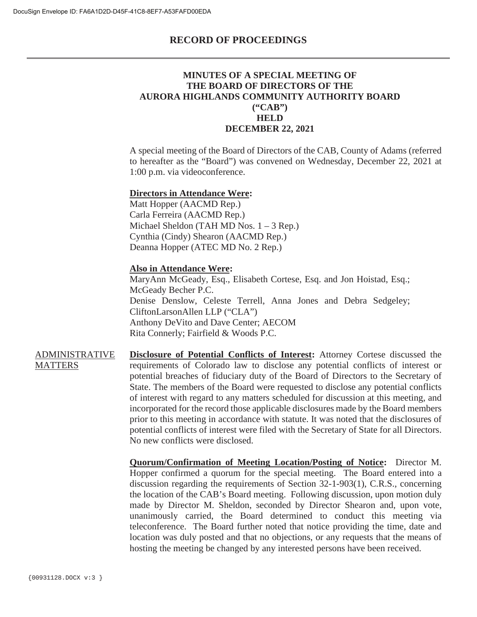### **RECORD OF PROCEEDINGS**

## **MINUTES OF A SPECIAL MEETING OF THE BOARD OF DIRECTORS OF THE AURORA HIGHLANDS COMMUNITY AUTHORITY BOARD ("CAB") HELD DECEMBER 22, 2021**

A special meeting of the Board of Directors of the CAB, County of Adams (referred to hereafter as the "Board") was convened on Wednesday, December 22, 2021 at 1:00 p.m. via videoconference.

#### **Directors in Attendance Were:**

Matt Hopper (AACMD Rep.) Carla Ferreira (AACMD Rep.) Michael Sheldon (TAH MD Nos. 1 – 3 Rep.) Cynthia (Cindy) Shearon (AACMD Rep.) Deanna Hopper (ATEC MD No. 2 Rep.)

#### **Also in Attendance Were:**

MaryAnn McGeady, Esq., Elisabeth Cortese, Esq. and Jon Hoistad, Esq.; McGeady Becher P.C. Denise Denslow, Celeste Terrell, Anna Jones and Debra Sedgeley; CliftonLarsonAllen LLP ("CLA") Anthony DeVito and Dave Center; AECOM Rita Connerly; Fairfield & Woods P.C.

ADMINISTRATIVE **MATTERS Disclosure of Potential Conflicts of Interest:** Attorney Cortese discussed the requirements of Colorado law to disclose any potential conflicts of interest or potential breaches of fiduciary duty of the Board of Directors to the Secretary of State. The members of the Board were requested to disclose any potential conflicts of interest with regard to any matters scheduled for discussion at this meeting, and incorporated for the record those applicable disclosures made by the Board members prior to this meeting in accordance with statute. It was noted that the disclosures of potential conflicts of interest were filed with the Secretary of State for all Directors. No new conflicts were disclosed.

> **Quorum/Confirmation of Meeting Location/Posting of Notice:** Director M. Hopper confirmed a quorum for the special meeting. The Board entered into a discussion regarding the requirements of Section 32-1-903(1), C.R.S., concerning the location of the CAB's Board meeting. Following discussion, upon motion duly made by Director M. Sheldon, seconded by Director Shearon and, upon vote, unanimously carried, the Board determined to conduct this meeting via teleconference. The Board further noted that notice providing the time, date and location was duly posted and that no objections, or any requests that the means of hosting the meeting be changed by any interested persons have been received.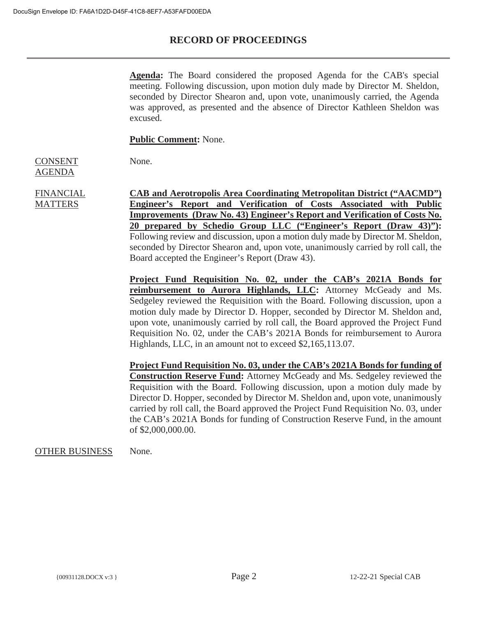# **RECORD OF PROCEEDINGS**

**Agenda:** The Board considered the proposed Agenda for the CAB's special meeting. Following discussion, upon motion duly made by Director M. Sheldon, seconded by Director Shearon and, upon vote, unanimously carried, the Agenda was approved, as presented and the absence of Director Kathleen Sheldon was excused.

**Public Comment:** None.

None.

CONSENT AGENDA

FINANCIAL **MATTERS** 

**CAB and Aerotropolis Area Coordinating Metropolitan District ("AACMD") Engineer's Report and Verification of Costs Associated with Public Improvements (Draw No. 43) Engineer's Report and Verification of Costs No. 20 prepared by Schedio Group LLC ("Engineer's Report (Draw 43)"):** Following review and discussion, upon a motion duly made by Director M. Sheldon, seconded by Director Shearon and, upon vote, unanimously carried by roll call, the Board accepted the Engineer's Report (Draw 43).

**Project Fund Requisition No. 02, under the CAB's 2021A Bonds for reimbursement to Aurora Highlands, LLC:** Attorney McGeady and Ms. Sedgeley reviewed the Requisition with the Board. Following discussion, upon a motion duly made by Director D. Hopper, seconded by Director M. Sheldon and, upon vote, unanimously carried by roll call, the Board approved the Project Fund Requisition No. 02, under the CAB's 2021A Bonds for reimbursement to Aurora Highlands, LLC, in an amount not to exceed \$2,165,113.07.

**Project Fund Requisition No. 03, under the CAB's 2021A Bonds for funding of Construction Reserve Fund:** Attorney McGeady and Ms. Sedgeley reviewed the Requisition with the Board. Following discussion, upon a motion duly made by Director D. Hopper, seconded by Director M. Sheldon and, upon vote, unanimously carried by roll call, the Board approved the Project Fund Requisition No. 03, under the CAB's 2021A Bonds for funding of Construction Reserve Fund, in the amount of \$2,000,000.00.

### OTHER BUSINESS None.